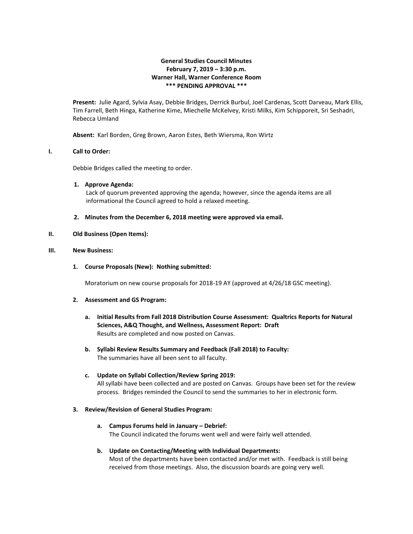# **General Studies Council Minutes February 7, 2019 – 3:30 p.m. Warner Hall, Warner Conference Room \*\*\* PENDING APPROVAL \*\*\***

**Present:** Julie Agard, Sylvia Asay, Debbie Bridges, Derrick Burbul, Joel Cardenas, Scott Darveau, Mark Ellis, Tim Farrell, Beth Hinga, Katherine Kime, Miechelle McKelvey, Kristi Milks, Kim Schipporeit, Sri Seshadri, Rebecca Umland

**Absent:** Karl Borden, Greg Brown, Aaron Estes, Beth Wiersma, Ron Wirtz

### **I. Call to Order:**

Debbie Bridges called the meeting to order.

#### **1. Approve Agenda:**

Lack of quorum prevented approving the agenda; however, since the agenda items are all informational the Council agreed to hold a relaxed meeting.

**2. Minutes from the December 6, 2018 meeting were approved via email.**

## **II. Old Business (Open Items):**

### **III. New Business:**

**1. Course Proposals (New): Nothing submitted:**

Moratorium on new course proposals for 2018-19 AY (approved at 4/26/18 GSC meeting).

#### **2. Assessment and GS Program:**

- **a. Initial Results from Fall 2018 Distribution Course Assessment: Qualtrics Reports for Natural Sciences, A&Q Thought, and Wellness, Assessment Report: Draft** Results are completed and now posted on Canvas.
- **b. Syllabi Review Results Summary and Feedback (Fall 2018) to Faculty:** The summaries have all been sent to all faculty.

## **c. Update on Syllabi Collection/Review Spring 2019:**

All syllabi have been collected and are posted on Canvas. Groups have been set for the review process. Bridges reminded the Council to send the summaries to her in electronic form.

#### **3. Review/Revision of General Studies Program:**

**a. Campus Forums held in January – Debrief:** The Council indicated the forums went well and were fairly well attended.

# **b. Update on Contacting/Meeting with Individual Departments:** Most of the departments have been contacted and/or met with. Feedback is still being received from those meetings. Also, the discussion boards are going very well.